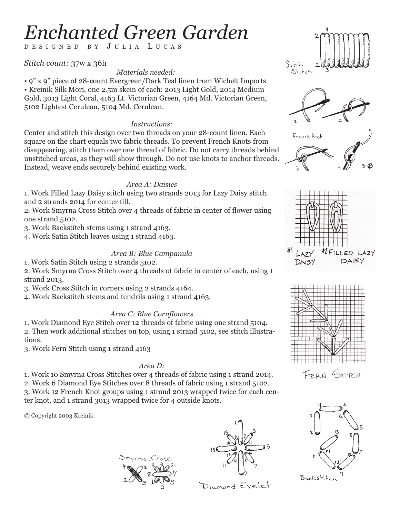# *Enchanted Green Garden*

DESIGNED BY J ULIA L UCAS

*Stitch count:* 37w x 36h

## *Materials needed:*

• 9" x 9" piece of 28-count Evergreen/Dark Teal linen from Wichelt Imports • Kreinik Silk Mori, one 2.5m skein of each: 2013 Light Gold, 2014 Medium Gold, 3013 Light Coral, 4163 Lt. Victorian Green, 4164 Md. Victorian Green, 5102 Lightest Cerulean, 5104 Md. Cerulean.

#### *Instructions:*

Center and stitch this design over two threads on your 28-count linen. Each square on the chart equals two fabric threads. To prevent French Knots from disappearing, stitch them over one thread of fabric. Do not carry threads behind unstitched areas, as they will show through. Do not use knots to anchor threads. Instead, weave ends securely behind existing work.

### *Area A: Daisies*

1. Work Filled Lazy Daisy stitch using two strands 2013 for Lazy Daisy stitch and 2 strands 2014 for center fill.

2. Work Smyrna Cross Stitch over 4 threads of fabric in center of flower using one strand 5102.

3. Work Backstitch stems using 1 strand 4163.

4. Work Satin Stitch leaves using 1 strand 4163.

### *Area B: Blue Campanula*

1. Work Satin Stitch using 2 strands 5102.

2. Work Smyrna Cross Stitch over 4 threads of fabric in center of each, using 1 strand 2013.

3. Work Cross Stitch in corners using 2 strands 4164.

4. Work Backstitch stems and tendrils using 1 strand 4163.

### *Area C: Blue Cornflowers*

1. Work Diamond Eye Stitch over 12 threads of fabric using one strand 5104. 2. Then work additional stitches on top, using 1 strand 5102, see stitch illustrations.

3. Work Fern Stitch using 1 strand 4163

#### *Area D:*

1. Work 10 Smyrna Cross Stitches over 4 threads of fabric using 1 strand 2014.

2. Work 6 Diamond Eye Stitches over 8 threads of fabric using 1 strand 5102. 3. Work 12 French Knot groups using 1 strand 2013 wrapped twice for each center knot, and 1 strand 3013 wrapped twice for 4 outside knots.

© Copyright 2003 Kreinik.



Diamond Eyelet











FERN STITCH